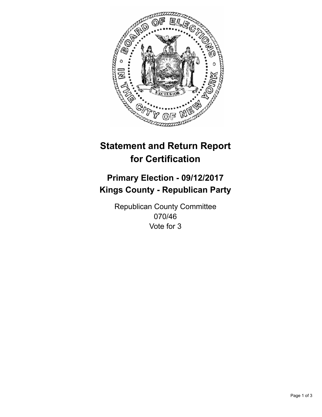

## **Statement and Return Report for Certification**

## **Primary Election - 09/12/2017 Kings County - Republican Party**

Republican County Committee 070/46 Vote for 3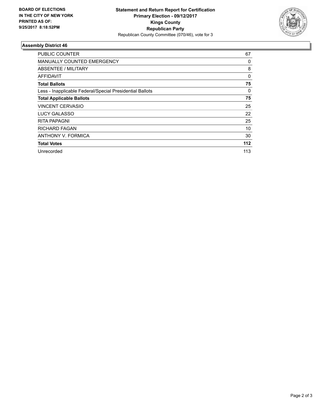

## **Assembly District 46**

| <b>PUBLIC COUNTER</b>                                    | 67       |
|----------------------------------------------------------|----------|
| <b>MANUALLY COUNTED EMERGENCY</b>                        | 0        |
| ABSENTEE / MILITARY                                      | 8        |
| AFFIDAVIT                                                | $\Omega$ |
| <b>Total Ballots</b>                                     | 75       |
| Less - Inapplicable Federal/Special Presidential Ballots | 0        |
| <b>Total Applicable Ballots</b>                          | 75       |
| <b>VINCENT CERVASIO</b>                                  | 25       |
| <b>LUCY GALASSO</b>                                      | 22       |
| RITA PAPAGNI                                             | 25       |
| <b>RICHARD FAGAN</b>                                     | 10       |
| ANTHONY V. FORMICA                                       | 30       |
| <b>Total Votes</b>                                       | 112      |
| Unrecorded                                               | 113      |